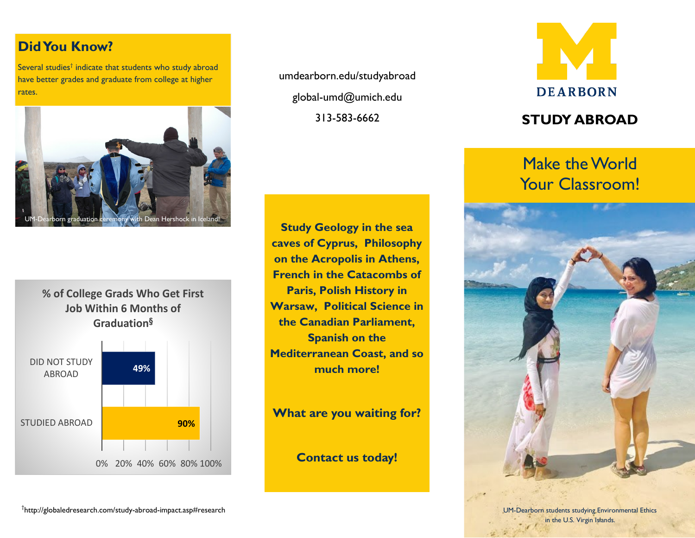# **Did You Know?**

Several studies<sup>†</sup> indicate that students who study abroad have better grades and graduate from college at higher rates.



**% of College Grads Who Get First Job Within 6 Months of Graduation§**



umdearborn.edu/studyabroad global-umd@umich.edu 313-583-6662

**Study Geology in the sea caves of Cyprus, Philosophy on the Acropolis in Athens, French in the Catacombs of Paris, Polish History in Warsaw, Political Science in the Canadian Parliament, Spanish on the Mediterranean Coast, and so much more!**

**What are you waiting for?**

**Contact us today!**



# **STUDY ABROAD**

# Make the World Your Classroom!



in the U.S. Virgin Islands.